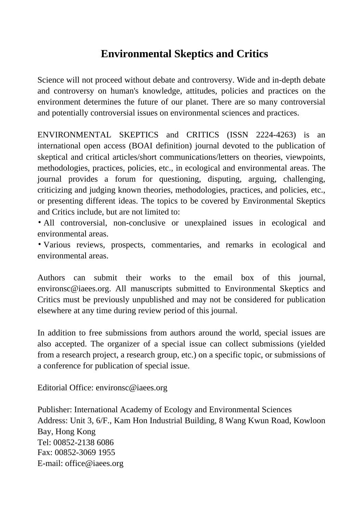# **Environmental Skeptics and Critics**

Science will not proceed without debate and controversy. Wide and in-depth debate and controversy on human's knowledge, attitudes, policies and practices on the environment determines the future of our planet. There are so many controversial and potentially controversial issues on environmental sciences and practices.

ENVIRONMENTAL SKEPTICS and CRITICS (ISSN 2224-4263) is an international open access (BOAI definition) journal devoted to the publication of skeptical and critical articles/short communications/letters on theories, viewpoints, methodologies, practices, policies, etc., in ecological and environmental areas. The journal provides a forum for questioning, disputing, arguing, challenging, criticizing and judging known theories, methodologies, practices, and policies, etc., or presenting different ideas. The topics to be covered by Environmental Skeptics and Critics include, but are not limited to:

• All controversial, non-conclusive or unexplained issues in ecological and environmental areas.

• Various reviews, prospects, commentaries, and remarks in ecological and environmental areas.

Authors can submit their works to the email box of this journal, environsc@iaees.org. All manuscripts submitted to Environmental Skeptics and Critics must be previously unpublished and may not be considered for publication elsewhere at any time during review period of this journal.

In addition to free submissions from authors around the world, special issues are also accepted. The organizer of a special issue can collect submissions (yielded from a research project, a research group, etc.) on a specific topic, or submissions of a conference for publication of special issue.

Editorial Office: environsc@iaees.org

Publisher: International Academy of Ecology and Environmental Sciences Address: Unit 3, 6/F., Kam Hon Industrial Building, 8 Wang Kwun Road, Kowloon Bay, Hong Kong Tel: 00852-2138 6086 Fax: 00852-3069 1955 E-mail: office@iaees.org